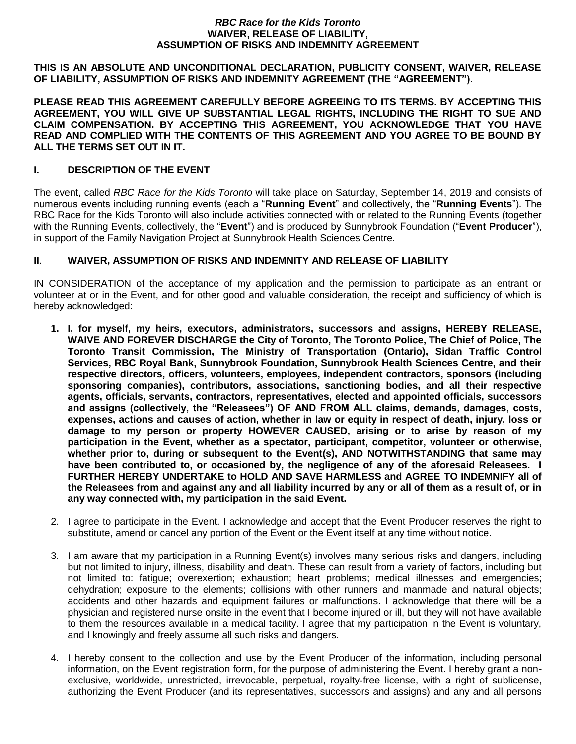#### *RBC Race for the Kids Toronto* **WAIVER, RELEASE OF LIABILITY, ASSUMPTION OF RISKS AND INDEMNITY AGREEMENT**

**THIS IS AN ABSOLUTE AND UNCONDITIONAL DECLARATION, PUBLICITY CONSENT, WAIVER, RELEASE OF LIABILITY, ASSUMPTION OF RISKS AND INDEMNITY AGREEMENT (THE "AGREEMENT").** 

**PLEASE READ THIS AGREEMENT CAREFULLY BEFORE AGREEING TO ITS TERMS. BY ACCEPTING THIS AGREEMENT, YOU WILL GIVE UP SUBSTANTIAL LEGAL RIGHTS, INCLUDING THE RIGHT TO SUE AND CLAIM COMPENSATION. BY ACCEPTING THIS AGREEMENT, YOU ACKNOWLEDGE THAT YOU HAVE READ AND COMPLIED WITH THE CONTENTS OF THIS AGREEMENT AND YOU AGREE TO BE BOUND BY ALL THE TERMS SET OUT IN IT.**

# **I. DESCRIPTION OF THE EVENT**

The event, called *RBC Race for the Kids Toronto* will take place on Saturday, September 14, 2019 and consists of numerous events including running events (each a "**Running Event**" and collectively, the "**Running Events**"). The RBC Race for the Kids Toronto will also include activities connected with or related to the Running Events (together with the Running Events, collectively, the "**Event**") and is produced by Sunnybrook Foundation ("**Event Producer**"), in support of the Family Navigation Project at Sunnybrook Health Sciences Centre.

# **II**. **WAIVER, ASSUMPTION OF RISKS AND INDEMNITY AND RELEASE OF LIABILITY**

IN CONSIDERATION of the acceptance of my application and the permission to participate as an entrant or volunteer at or in the Event, and for other good and valuable consideration, the receipt and sufficiency of which is hereby acknowledged:

- **1. I, for myself, my heirs, executors, administrators, successors and assigns, HEREBY RELEASE, WAIVE AND FOREVER DISCHARGE the City of Toronto, The Toronto Police, The Chief of Police, The Toronto Transit Commission, The Ministry of Transportation (Ontario), Sidan Traffic Control Services, RBC Royal Bank, Sunnybrook Foundation, Sunnybrook Health Sciences Centre, and their respective directors, officers, volunteers, employees, independent contractors, sponsors (including sponsoring companies), contributors, associations, sanctioning bodies, and all their respective agents, officials, servants, contractors, representatives, elected and appointed officials, successors and assigns (collectively, the "Releasees") OF AND FROM ALL claims, demands, damages, costs, expenses, actions and causes of action, whether in law or equity in respect of death, injury, loss or damage to my person or property HOWEVER CAUSED, arising or to arise by reason of my participation in the Event, whether as a spectator, participant, competitor, volunteer or otherwise, whether prior to, during or subsequent to the Event(s), AND NOTWITHSTANDING that same may have been contributed to, or occasioned by, the negligence of any of the aforesaid Releasees. I FURTHER HEREBY UNDERTAKE to HOLD AND SAVE HARMLESS and AGREE TO INDEMNIFY all of the Releasees from and against any and all liability incurred by any or all of them as a result of, or in any way connected with, my participation in the said Event.**
- 2. I agree to participate in the Event. I acknowledge and accept that the Event Producer reserves the right to substitute, amend or cancel any portion of the Event or the Event itself at any time without notice.
- 3. I am aware that my participation in a Running Event(s) involves many serious risks and dangers, including but not limited to injury, illness, disability and death. These can result from a variety of factors, including but not limited to: fatigue; overexertion; exhaustion; heart problems; medical illnesses and emergencies; dehydration; exposure to the elements; collisions with other runners and manmade and natural objects; accidents and other hazards and equipment failures or malfunctions. I acknowledge that there will be a physician and registered nurse onsite in the event that I become injured or ill, but they will not have available to them the resources available in a medical facility. I agree that my participation in the Event is voluntary, and I knowingly and freely assume all such risks and dangers.
- 4. I hereby consent to the collection and use by the Event Producer of the information, including personal information, on the Event registration form, for the purpose of administering the Event. I hereby grant a nonexclusive, worldwide, unrestricted, irrevocable, perpetual, royalty-free license, with a right of sublicense, authorizing the Event Producer (and its representatives, successors and assigns) and any and all persons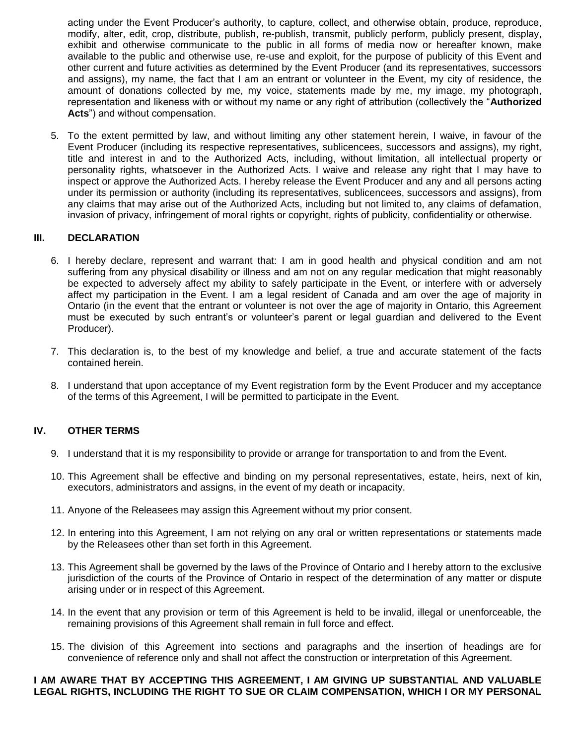acting under the Event Producer's authority, to capture, collect, and otherwise obtain, produce, reproduce, modify, alter, edit, crop, distribute, publish, re-publish, transmit, publicly perform, publicly present, display, exhibit and otherwise communicate to the public in all forms of media now or hereafter known, make available to the public and otherwise use, re-use and exploit, for the purpose of publicity of this Event and other current and future activities as determined by the Event Producer (and its representatives, successors and assigns), my name, the fact that I am an entrant or volunteer in the Event, my city of residence, the amount of donations collected by me, my voice, statements made by me, my image, my photograph, representation and likeness with or without my name or any right of attribution (collectively the "**Authorized Acts**") and without compensation.

5. To the extent permitted by law, and without limiting any other statement herein, I waive, in favour of the Event Producer (including its respective representatives, sublicencees, successors and assigns), my right, title and interest in and to the Authorized Acts, including, without limitation, all intellectual property or personality rights, whatsoever in the Authorized Acts. I waive and release any right that I may have to inspect or approve the Authorized Acts. I hereby release the Event Producer and any and all persons acting under its permission or authority (including its representatives, sublicencees, successors and assigns), from any claims that may arise out of the Authorized Acts, including but not limited to, any claims of defamation, invasion of privacy, infringement of moral rights or copyright, rights of publicity, confidentiality or otherwise.

### **III. DECLARATION**

- 6. I hereby declare, represent and warrant that: I am in good health and physical condition and am not suffering from any physical disability or illness and am not on any regular medication that might reasonably be expected to adversely affect my ability to safely participate in the Event, or interfere with or adversely affect my participation in the Event. I am a legal resident of Canada and am over the age of majority in Ontario (in the event that the entrant or volunteer is not over the age of majority in Ontario, this Agreement must be executed by such entrant's or volunteer's parent or legal guardian and delivered to the Event Producer).
- 7. This declaration is, to the best of my knowledge and belief, a true and accurate statement of the facts contained herein.
- 8. I understand that upon acceptance of my Event registration form by the Event Producer and my acceptance of the terms of this Agreement, I will be permitted to participate in the Event.

## **IV. OTHER TERMS**

- 9. I understand that it is my responsibility to provide or arrange for transportation to and from the Event.
- 10. This Agreement shall be effective and binding on my personal representatives, estate, heirs, next of kin, executors, administrators and assigns, in the event of my death or incapacity.
- 11. Anyone of the Releasees may assign this Agreement without my prior consent.
- 12. In entering into this Agreement, I am not relying on any oral or written representations or statements made by the Releasees other than set forth in this Agreement.
- 13. This Agreement shall be governed by the laws of the Province of Ontario and I hereby attorn to the exclusive jurisdiction of the courts of the Province of Ontario in respect of the determination of any matter or dispute arising under or in respect of this Agreement.
- 14. In the event that any provision or term of this Agreement is held to be invalid, illegal or unenforceable, the remaining provisions of this Agreement shall remain in full force and effect.
- 15. The division of this Agreement into sections and paragraphs and the insertion of headings are for convenience of reference only and shall not affect the construction or interpretation of this Agreement.

### **I AM AWARE THAT BY ACCEPTING THIS AGREEMENT, I AM GIVING UP SUBSTANTIAL AND VALUABLE LEGAL RIGHTS, INCLUDING THE RIGHT TO SUE OR CLAIM COMPENSATION, WHICH I OR MY PERSONAL**